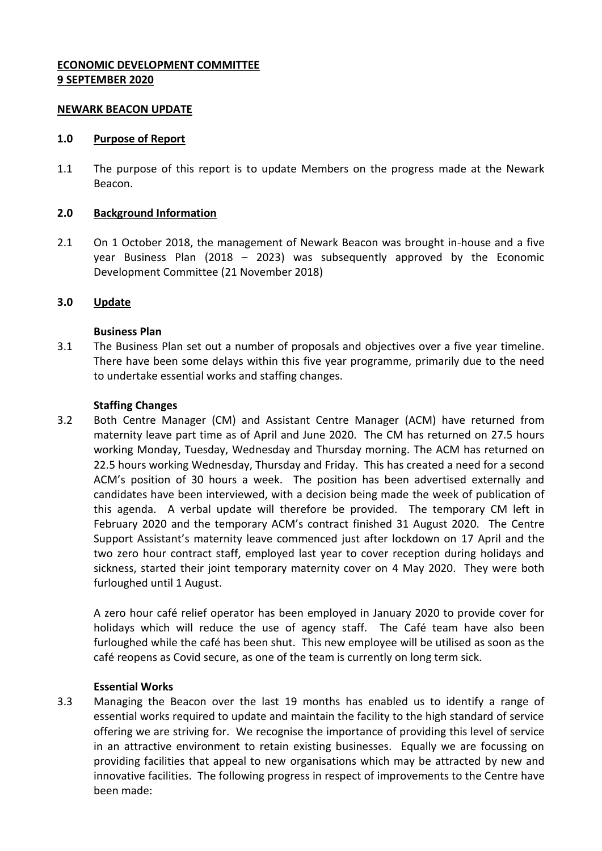## **ECONOMIC DEVELOPMENT COMMITTEE 9 SEPTEMBER 2020**

### **NEWARK BEACON UPDATE**

#### **1.0 Purpose of Report**

1.1 The purpose of this report is to update Members on the progress made at the Newark Beacon.

### **2.0 Background Information**

2.1 On 1 October 2018, the management of Newark Beacon was brought in-house and a five year Business Plan (2018 – 2023) was subsequently approved by the Economic Development Committee (21 November 2018)

### **3.0 Update**

### **Business Plan**

3.1 The Business Plan set out a number of proposals and objectives over a five year timeline. There have been some delays within this five year programme, primarily due to the need to undertake essential works and staffing changes.

### **Staffing Changes**

3.2 Both Centre Manager (CM) and Assistant Centre Manager (ACM) have returned from maternity leave part time as of April and June 2020. The CM has returned on 27.5 hours working Monday, Tuesday, Wednesday and Thursday morning. The ACM has returned on 22.5 hours working Wednesday, Thursday and Friday. This has created a need for a second ACM's position of 30 hours a week. The position has been advertised externally and candidates have been interviewed, with a decision being made the week of publication of this agenda. A verbal update will therefore be provided. The temporary CM left in February 2020 and the temporary ACM's contract finished 31 August 2020. The Centre Support Assistant's maternity leave commenced just after lockdown on 17 April and the two zero hour contract staff, employed last year to cover reception during holidays and sickness, started their joint temporary maternity cover on 4 May 2020. They were both furloughed until 1 August.

A zero hour café relief operator has been employed in January 2020 to provide cover for holidays which will reduce the use of agency staff. The Café team have also been furloughed while the café has been shut. This new employee will be utilised as soon as the café reopens as Covid secure, as one of the team is currently on long term sick.

#### **Essential Works**

3.3 Managing the Beacon over the last 19 months has enabled us to identify a range of essential works required to update and maintain the facility to the high standard of service offering we are striving for. We recognise the importance of providing this level of service in an attractive environment to retain existing businesses. Equally we are focussing on providing facilities that appeal to new organisations which may be attracted by new and innovative facilities. The following progress in respect of improvements to the Centre have been made: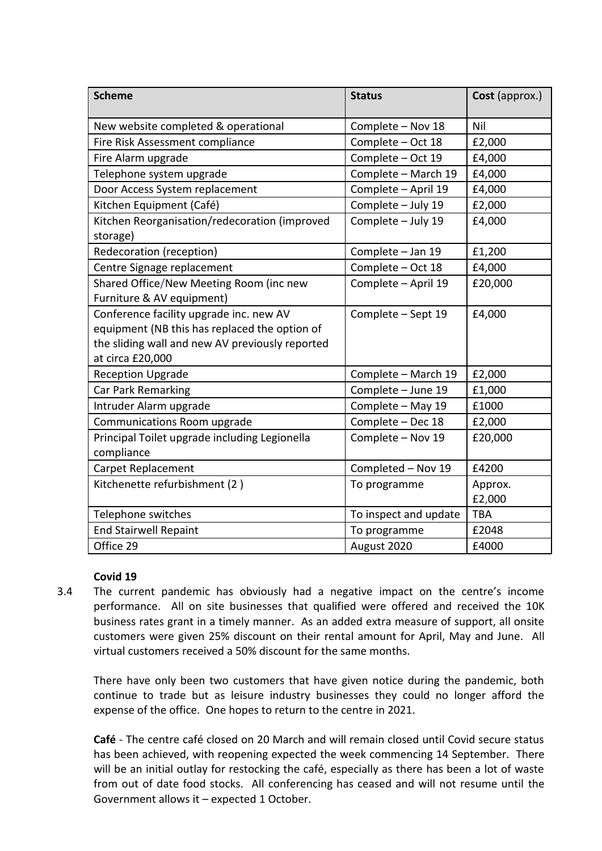| <b>Scheme</b>                                                                                                                                                   | <b>Status</b>         | Cost (approx.)    |
|-----------------------------------------------------------------------------------------------------------------------------------------------------------------|-----------------------|-------------------|
| New website completed & operational                                                                                                                             | Complete - Nov 18     | Nil               |
| Fire Risk Assessment compliance                                                                                                                                 | Complete - Oct 18     | £2,000            |
| Fire Alarm upgrade                                                                                                                                              | Complete - Oct 19     | £4,000            |
| Telephone system upgrade                                                                                                                                        | Complete - March 19   | £4,000            |
| Door Access System replacement                                                                                                                                  | Complete - April 19   | £4,000            |
| Kitchen Equipment (Café)                                                                                                                                        | Complete - July 19    | £2,000            |
| Kitchen Reorganisation/redecoration (improved<br>storage)                                                                                                       | Complete - July 19    | £4,000            |
| Redecoration (reception)                                                                                                                                        | Complete - Jan 19     | £1,200            |
| Centre Signage replacement                                                                                                                                      | Complete - Oct 18     | £4,000            |
| Shared Office/New Meeting Room (inc new<br>Furniture & AV equipment)                                                                                            | Complete - April 19   | £20,000           |
| Conference facility upgrade inc. new AV<br>equipment (NB this has replaced the option of<br>the sliding wall and new AV previously reported<br>at circa £20,000 | Complete - Sept 19    | £4,000            |
| <b>Reception Upgrade</b>                                                                                                                                        | Complete - March 19   | £2,000            |
| Car Park Remarking                                                                                                                                              | Complete - June 19    | £1,000            |
| Intruder Alarm upgrade                                                                                                                                          | Complete - May 19     | £1000             |
| Communications Room upgrade                                                                                                                                     | Complete - Dec 18     | £2,000            |
| Principal Toilet upgrade including Legionella<br>compliance                                                                                                     | Complete - Nov 19     | £20,000           |
| <b>Carpet Replacement</b>                                                                                                                                       | Completed - Nov 19    | £4200             |
| Kitchenette refurbishment (2)                                                                                                                                   | To programme          | Approx.<br>£2,000 |
| Telephone switches                                                                                                                                              | To inspect and update | <b>TBA</b>        |
| <b>End Stairwell Repaint</b>                                                                                                                                    | To programme          | £2048             |
| Office 29                                                                                                                                                       | August 2020           | £4000             |

# **Covid 19**

3.4 The current pandemic has obviously had a negative impact on the centre's income performance. All on site businesses that qualified were offered and received the 10K business rates grant in a timely manner. As an added extra measure of support, all onsite customers were given 25% discount on their rental amount for April, May and June. All virtual customers received a 50% discount for the same months.

There have only been two customers that have given notice during the pandemic, both continue to trade but as leisure industry businesses they could no longer afford the expense of the office. One hopes to return to the centre in 2021.

**Café** - The centre café closed on 20 March and will remain closed until Covid secure status has been achieved, with reopening expected the week commencing 14 September. There will be an initial outlay for restocking the café, especially as there has been a lot of waste from out of date food stocks. All conferencing has ceased and will not resume until the Government allows it – expected 1 October.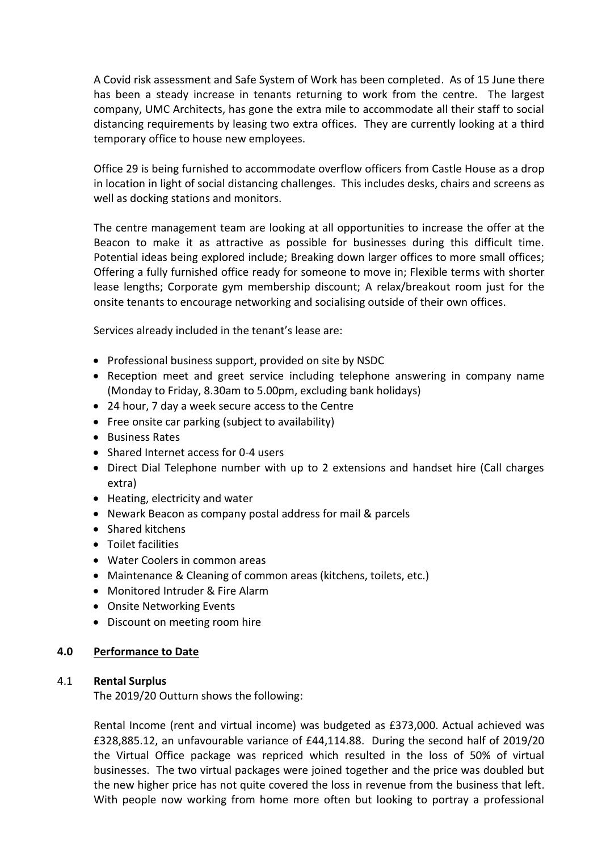A Covid risk assessment and Safe System of Work has been completed. As of 15 June there has been a steady increase in tenants returning to work from the centre. The largest company, UMC Architects, has gone the extra mile to accommodate all their staff to social distancing requirements by leasing two extra offices. They are currently looking at a third temporary office to house new employees.

Office 29 is being furnished to accommodate overflow officers from Castle House as a drop in location in light of social distancing challenges. This includes desks, chairs and screens as well as docking stations and monitors.

The centre management team are looking at all opportunities to increase the offer at the Beacon to make it as attractive as possible for businesses during this difficult time. Potential ideas being explored include; Breaking down larger offices to more small offices; Offering a fully furnished office ready for someone to move in; Flexible terms with shorter lease lengths; Corporate gym membership discount; A relax/breakout room just for the onsite tenants to encourage networking and socialising outside of their own offices.

Services already included in the tenant's lease are:

- Professional business support, provided on site by NSDC
- Reception meet and greet service including telephone answering in company name (Monday to Friday, 8.30am to 5.00pm, excluding bank holidays)
- 24 hour, 7 day a week secure access to the Centre
- Free onsite car parking (subject to availability)
- Business Rates
- Shared Internet access for 0-4 users
- Direct Dial Telephone number with up to 2 extensions and handset hire (Call charges extra)
- Heating, electricity and water
- Newark Beacon as company postal address for mail & parcels
- Shared kitchens
- Toilet facilities
- Water Coolers in common areas
- Maintenance & Cleaning of common areas (kitchens, toilets, etc.)
- Monitored Intruder & Fire Alarm
- Onsite Networking Events
- Discount on meeting room hire

## **4.0 Performance to Date**

## 4.1 **Rental Surplus**

The 2019/20 Outturn shows the following:

Rental Income (rent and virtual income) was budgeted as £373,000. Actual achieved was £328,885.12, an unfavourable variance of £44,114.88. During the second half of 2019/20 the Virtual Office package was repriced which resulted in the loss of 50% of virtual businesses. The two virtual packages were joined together and the price was doubled but the new higher price has not quite covered the loss in revenue from the business that left. With people now working from home more often but looking to portray a professional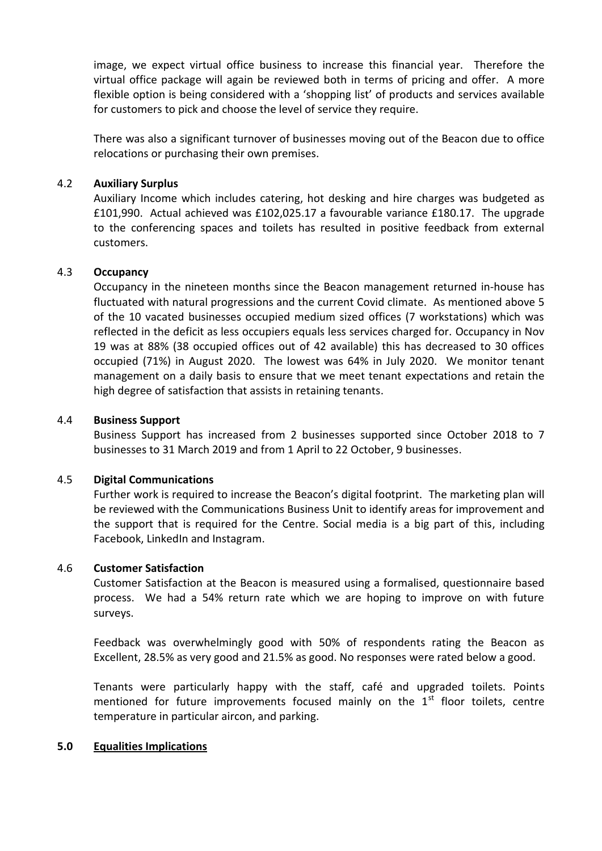image, we expect virtual office business to increase this financial year. Therefore the virtual office package will again be reviewed both in terms of pricing and offer. A more flexible option is being considered with a 'shopping list' of products and services available for customers to pick and choose the level of service they require.

There was also a significant turnover of businesses moving out of the Beacon due to office relocations or purchasing their own premises.

## 4.2 **Auxiliary Surplus**

Auxiliary Income which includes catering, hot desking and hire charges was budgeted as £101,990. Actual achieved was £102,025.17 a favourable variance £180.17. The upgrade to the conferencing spaces and toilets has resulted in positive feedback from external customers.

## 4.3 **Occupancy**

Occupancy in the nineteen months since the Beacon management returned in-house has fluctuated with natural progressions and the current Covid climate. As mentioned above 5 of the 10 vacated businesses occupied medium sized offices (7 workstations) which was reflected in the deficit as less occupiers equals less services charged for. Occupancy in Nov 19 was at 88% (38 occupied offices out of 42 available) this has decreased to 30 offices occupied (71%) in August 2020. The lowest was 64% in July 2020. We monitor tenant management on a daily basis to ensure that we meet tenant expectations and retain the high degree of satisfaction that assists in retaining tenants.

## 4.4 **Business Support**

Business Support has increased from 2 businesses supported since October 2018 to 7 businesses to 31 March 2019 and from 1 April to 22 October, 9 businesses.

## 4.5 **Digital Communications**

Further work is required to increase the Beacon's digital footprint. The marketing plan will be reviewed with the Communications Business Unit to identify areas for improvement and the support that is required for the Centre. Social media is a big part of this, including Facebook, LinkedIn and Instagram.

## 4.6 **Customer Satisfaction**

Customer Satisfaction at the Beacon is measured using a formalised, questionnaire based process. We had a 54% return rate which we are hoping to improve on with future surveys.

Feedback was overwhelmingly good with 50% of respondents rating the Beacon as Excellent, 28.5% as very good and 21.5% as good. No responses were rated below a good.

Tenants were particularly happy with the staff, café and upgraded toilets. Points mentioned for future improvements focused mainly on the  $1<sup>st</sup>$  floor toilets, centre temperature in particular aircon, and parking.

## **5.0 Equalities Implications**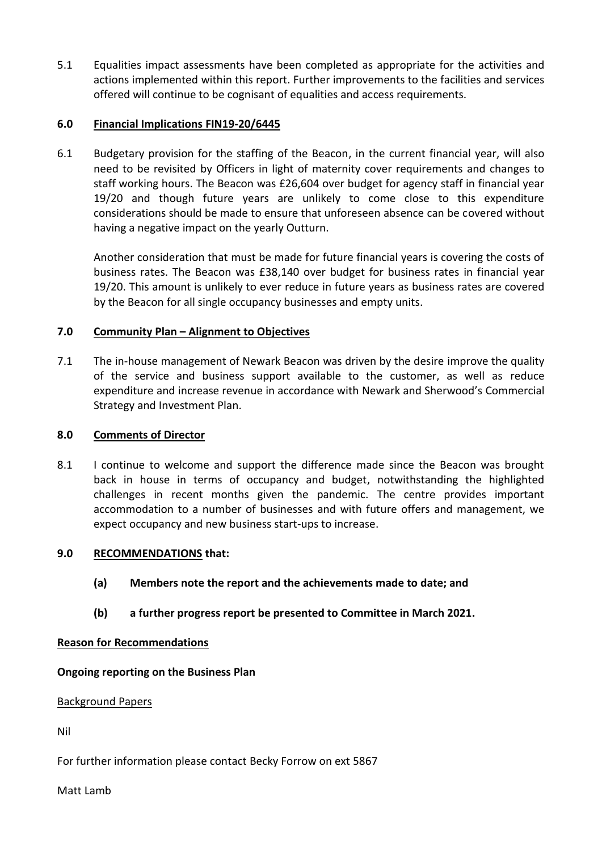5.1 Equalities impact assessments have been completed as appropriate for the activities and actions implemented within this report. Further improvements to the facilities and services offered will continue to be cognisant of equalities and access requirements.

# **6.0 Financial Implications FIN19-20/6445**

6.1 Budgetary provision for the staffing of the Beacon, in the current financial year, will also need to be revisited by Officers in light of maternity cover requirements and changes to staff working hours. The Beacon was £26,604 over budget for agency staff in financial year 19/20 and though future years are unlikely to come close to this expenditure considerations should be made to ensure that unforeseen absence can be covered without having a negative impact on the yearly Outturn.

Another consideration that must be made for future financial years is covering the costs of business rates. The Beacon was £38,140 over budget for business rates in financial year 19/20. This amount is unlikely to ever reduce in future years as business rates are covered by the Beacon for all single occupancy businesses and empty units.

## **7.0 Community Plan – Alignment to Objectives**

7.1 The in-house management of Newark Beacon was driven by the desire improve the quality of the service and business support available to the customer, as well as reduce expenditure and increase revenue in accordance with Newark and Sherwood's Commercial Strategy and Investment Plan.

## **8.0 Comments of Director**

8.1 I continue to welcome and support the difference made since the Beacon was brought back in house in terms of occupancy and budget, notwithstanding the highlighted challenges in recent months given the pandemic. The centre provides important accommodation to a number of businesses and with future offers and management, we expect occupancy and new business start-ups to increase.

## **9.0 RECOMMENDATIONS that:**

- **(a) Members note the report and the achievements made to date; and**
- **(b) a further progress report be presented to Committee in March 2021.**

## **Reason for Recommendations**

**Ongoing reporting on the Business Plan**

## Background Papers

Nil

For further information please contact Becky Forrow on ext 5867

Matt Lamb